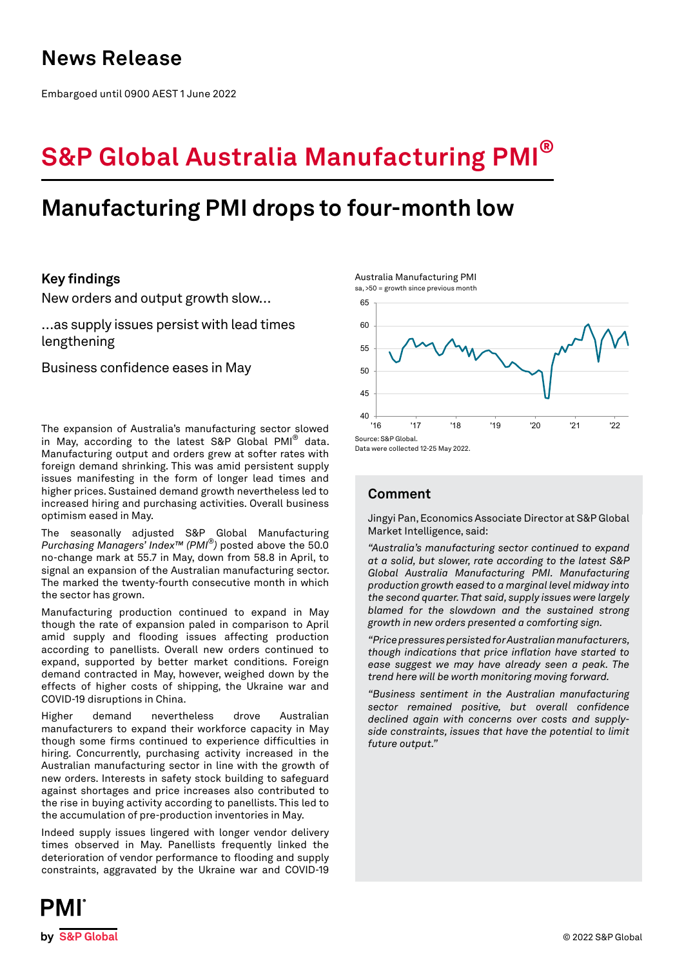## **News Release**

Embargoed until 0900 AEST 1 June 2022

# **S&P Global Australia Manufacturing PMI®**

## **Manufacturing PMI drops to four-month low**

### **Key findings**

New orders and output growth slow…

…as supply issues persist with lead times lengthening

Business confidence eases in May

The expansion of Australia's manufacturing sector slowed in May, according to the latest S&P Global PMI® data. Manufacturing output and orders grew at softer rates with foreign demand shrinking. This was amid persistent supply issues manifesting in the form of longer lead times and higher prices. Sustained demand growth nevertheless led to increased hiring and purchasing activities. Overall business optimism eased in May.

The seasonally adjusted S&P Global Manufacturing *Purchasing Managers' Index™ (PMI®)* posted above the 50.0 no-change mark at 55.7 in May, down from 58.8 in April, to signal an expansion of the Australian manufacturing sector. The marked the twenty-fourth consecutive month in which the sector has grown.

Manufacturing production continued to expand in May though the rate of expansion paled in comparison to April amid supply and flooding issues affecting production according to panellists. Overall new orders continued to expand, supported by better market conditions. Foreign demand contracted in May, however, weighed down by the effects of higher costs of shipping, the Ukraine war and COVID-19 disruptions in China.

Higher demand nevertheless drove Australian manufacturers to expand their workforce capacity in May though some firms continued to experience difficulties in hiring. Concurrently, purchasing activity increased in the Australian manufacturing sector in line with the growth of new orders. Interests in safety stock building to safeguard against shortages and price increases also contributed to the rise in buying activity according to panellists. This led to the accumulation of pre-production inventories in May.

Indeed supply issues lingered with longer vendor delivery times observed in May. Panellists frequently linked the deterioration of vendor performance to flooding and supply constraints, aggravated by the Ukraine war and COVID-19



#### Data were collected 12-25 May 2022.

Australia Manufacturing PMI sa, >50 = growth since previous month

### **Comment**

Jingyi Pan, Economics Associate Director at S&P Global Market Intelligence, said:

*"Australia's manufacturing sector continued to expand at a solid, but slower, rate according to the latest S&P Global Australia Manufacturing PMI. Manufacturing production growth eased to a marginal level midway into the second quarter. That said, supply issues were largely blamed for the slowdown and the sustained strong growth in new orders presented a comforting sign.*

*"Price pressures persisted for Australian manufacturers, though indications that price inflation have started to ease suggest we may have already seen a peak. The trend here will be worth monitoring moving forward.* 

*"Business sentiment in the Australian manufacturing sector remained positive, but overall confidence declined again with concerns over costs and supplyside constraints, issues that have the potential to limit future output."*